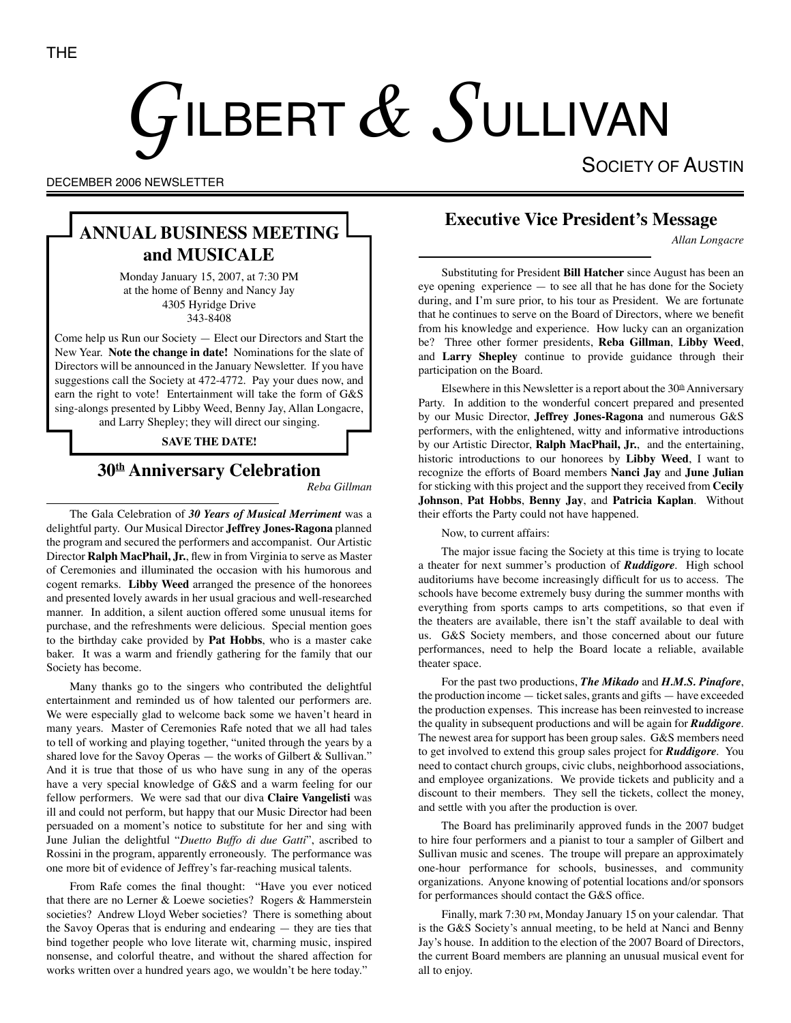# $G$ ilbert  $\&$   $S$ ullivan

SOCIETY OF AUSTIN

DECEMBER 2006 NEWSLETTER

# **ANNUAL BUSINESS MEETING and MUSICALE**

Monday January 15, 2007, at 7:30 PM at the home of Benny and Nancy Jay 4305 Hyridge Drive 343-8408

Come help us Run our Society — Elect our Directors and Start the New Year. **Note the change in date!** Nominations for the slate of Directors will be announced in the January Newsletter. If you have suggestions call the Society at 472-4772. Pay your dues now, and earn the right to vote! Entertainment will take the form of G&S sing-alongs presented by Libby Weed, Benny Jay, Allan Longacre, and Larry Shepley; they will direct our singing.

#### **SAVE THE DATE!**

# **30th Anniversary Celebration**

*Reba Gillman*

The Gala Celebration of *30 Years of Musical Merriment* was a delightful party. Our Musical Director **Jeffrey Jones-Ragona** planned the program and secured the performers and accompanist. Our Artistic Director **Ralph MacPhail, Jr.**, flew in from Virginia to serve as Master of Ceremonies and illuminated the occasion with his humorous and cogent remarks. **Libby Weed** arranged the presence of the honorees and presented lovely awards in her usual gracious and well-researched manner. In addition, a silent auction offered some unusual items for purchase, and the refreshments were delicious. Special mention goes to the birthday cake provided by **Pat Hobbs**, who is a master cake baker. It was a warm and friendly gathering for the family that our Society has become.

Many thanks go to the singers who contributed the delightful entertainment and reminded us of how talented our performers are. We were especially glad to welcome back some we haven't heard in many years. Master of Ceremonies Rafe noted that we all had tales to tell of working and playing together, "united through the years by a shared love for the Savoy Operas — the works of Gilbert & Sullivan." And it is true that those of us who have sung in any of the operas have a very special knowledge of G&S and a warm feeling for our fellow performers. We were sad that our diva **Claire Vangelisti** was ill and could not perform, but happy that our Music Director had been persuaded on a moment's notice to substitute for her and sing with June Julian the delightful "*Duetto Buffo di due Gatti*", ascribed to Rossini in the program, apparently erroneously. The performance was one more bit of evidence of Jeffrey's far-reaching musical talents.

From Rafe comes the final thought: "Have you ever noticed that there are no Lerner & Loewe societies? Rogers & Hammerstein societies? Andrew Lloyd Weber societies? There is something about the Savoy Operas that is enduring and endearing — they are ties that bind together people who love literate wit, charming music, inspired nonsense, and colorful theatre, and without the shared affection for works written over a hundred years ago, we wouldn't be here today."

# **Executive Vice President's Message**

*Allan Longacre*

Substituting for President **Bill Hatcher** since August has been an eye opening experience — to see all that he has done for the Society during, and I'm sure prior, to his tour as President. We are fortunate that he continues to serve on the Board of Directors, where we benefit from his knowledge and experience. How lucky can an organization be? Three other former presidents, **Reba Gillman**, **Libby Weed**, and **Larry Shepley** continue to provide guidance through their participation on the Board.

Elsewhere in this Newsletter is a report about the  $30<sup>th</sup>$  Anniversary Party. In addition to the wonderful concert prepared and presented by our Music Director, **Jeffrey Jones-Ragona** and numerous G&S performers, with the enlightened, witty and informative introductions by our Artistic Director, **Ralph MacPhail, Jr.**, and the entertaining, historic introductions to our honorees by **Libby Weed**, I want to recognize the efforts of Board members **Nanci Jay** and **June Julian** for sticking with this project and the support they received from **Cecily Johnson**, **Pat Hobbs**, **Benny Jay**, and **Patricia Kaplan**. Without their efforts the Party could not have happened.

Now, to current affairs:

The major issue facing the Society at this time is trying to locate a theater for next summer's production of *Ruddigore*. High school auditoriums have become increasingly difficult for us to access. The schools have become extremely busy during the summer months with everything from sports camps to arts competitions, so that even if the theaters are available, there isn't the staff available to deal with us. G&S Society members, and those concerned about our future performances, need to help the Board locate a reliable, available theater space.

For the past two productions, *The Mikado* and *H.M.S. Pinafore*, the production income — ticket sales, grants and gifts — have exceeded the production expenses. This increase has been reinvested to increase the quality in subsequent productions and will be again for *Ruddigore*. The newest area for support has been group sales. G&S members need to get involved to extend this group sales project for *Ruddigore*. You need to contact church groups, civic clubs, neighborhood associations, and employee organizations. We provide tickets and publicity and a discount to their members. They sell the tickets, collect the money, and settle with you after the production is over.

The Board has preliminarily approved funds in the 2007 budget to hire four performers and a pianist to tour a sampler of Gilbert and Sullivan music and scenes. The troupe will prepare an approximately one-hour performance for schools, businesses, and community organizations. Anyone knowing of potential locations and/or sponsors for performances should contact the G&S office.

Finally, mark 7:30 PM, Monday January 15 on your calendar. That is the G&S Society's annual meeting, to be held at Nanci and Benny Jay's house. In addition to the election of the 2007 Board of Directors, the current Board members are planning an unusual musical event for all to enjoy.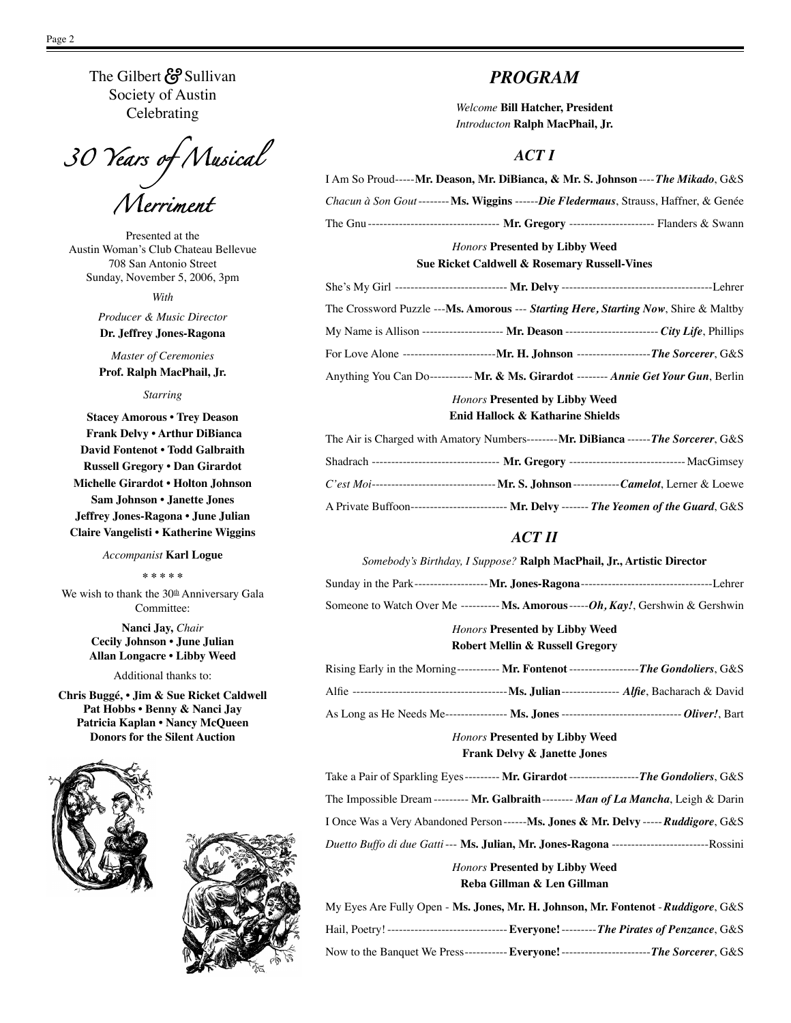The Gilbert & Sullivan Society of Austin Celebrating

*30 Years of Musical* 

Presented at the Austin Woman's Club Chateau Bellevue 708 San Antonio Street Sunday, November 5, 2006, 3pm

*Merriment*

*With*

*Producer & Music Director* **Dr. Jeffrey Jones-Ragona**

*Master of Ceremonies* **Prof. Ralph MacPhail, Jr.**

*Starring*

**Stacey Amorous • Trey Deason Frank Delvy • Arthur DiBianca David Fontenot • Todd Galbraith Russell Gregory • Dan Girardot Michelle Girardot • Holton Johnson Sam Johnson • Janette Jones Jeffrey Jones-Ragona • June Julian Claire Vangelisti • Katherine Wiggins**

#### *Accompanist* **Karl Logue**

**\* \* \* \* \***

We wish to thank the  $30<sup>th</sup>$  Anniversary Gala Committee:

> **Nanci Jay,** *Chair* **Cecily Johnson • June Julian Allan Longacre • Libby Weed**

> > Additional thanks to:

**Chris Buggé, • Jim & Sue Ricket Caldwell Pat Hobbs • Benny & Nanci Jay Patricia Kaplan • Nancy McQueen Donors for the Silent Auction**





## *PROGRAM*

*Welcome* **Bill Hatcher, President** *Introducton* **Ralph MacPhail, Jr.**

#### *ACT I*

| I Am So Proud----- <b>Mr. Deason, Mr. DiBianca, &amp; Mr. S. Johnson</b> ---- <i>The Mikado</i> , G&S |  |
|-------------------------------------------------------------------------------------------------------|--|
| Chacun à Son Gout-------- Ms. Wiggins ------Die Fledermaus, Strauss, Haffner, & Genée                 |  |
| The Gnu ---------------------------------- Mr. Gregory ----------------------------- Flanders & Swann |  |
| <b>Honors Presented by Libby Weed</b>                                                                 |  |
| Sue Ricket Caldwell & Rosemary Russell-Vines                                                          |  |
|                                                                                                       |  |
| The Crossword Puzzle --- <b>Ms. Amorous --- Starting Here, Starting Now</b> , Shire & Maltby          |  |
| My Name is Allison --------------------- Mr. Deason ------------------------ City Life, Phillips      |  |
| For Love Alone ----------------------------- Mr. H. Johnson --------------------The Sorcerer, G&S     |  |
| Anything You Can Do------------ Mr. & Ms. Girardot -------- Annie Get Your Gun, Berlin                |  |
| <b>Honors Presented by Libby Weed</b>                                                                 |  |

**Enid Hallock & Katharine Shields**

| The Air is Charged with Amatory Numbers--------Mr. DiBianca ------The Sorcerer, G&S                             |  |
|-----------------------------------------------------------------------------------------------------------------|--|
| Shadrach --------------------------------- Mr. Gregory ------------------------------- MacGimsey                |  |
| <i>C'est Moi</i> ----------------------------------- <b>Mr. S. Johnson</b> -------------Camelot, Lerner & Loewe |  |
| A Private Buffoon-------------------------- Mr. Delvy ------- The Yeomen of the Guard, G&S                      |  |

## *ACT II*

| Somebody's Birthday, I Suppose? Ralph MacPhail, Jr., Artistic Director                    |
|-------------------------------------------------------------------------------------------|
|                                                                                           |
| Someone to Watch Over Me ---------- Ms. Amorous ----- $Oh$ , Kay!, Gershwin & Gershwin    |
| <b>Honors Presented by Libby Weed</b>                                                     |
| <b>Robert Mellin &amp; Russell Gregory</b>                                                |
| Rising Early in the Morning----------- Mr. Fontenot ------------------The Gondoliers, G&S |

|  | Alfie ----------------------------- | -Ms. Julian--------------- Alfie, Bacharach & David                                                            |  |
|--|-------------------------------------|----------------------------------------------------------------------------------------------------------------|--|
|  |                                     | --- <i>Oliver!</i> . Bart<br>As Long as He Needs Me----------------- Ms. Jones ------------------------------- |  |

#### *Honors* **Presented by Libby Weed Frank Delvy & Janette Jones**

| Take a Pair of Sparkling Eyes--------- Mr. Girardot -------------------The Gondoliers, G&S             |
|--------------------------------------------------------------------------------------------------------|
| The Impossible Dream --------- Mr. Galbraith -------- Man of La Mancha, Leigh & Darin                  |
| I Once Was a Very Abandoned Person------ <b>Ms. Jones &amp; Mr. Delvy</b> ----- <b>Ruddigore</b> , G&S |
| Duetto Buffo di due Gatti --- <b>Ms. Julian, Mr. Jones-Ragona</b> ---------------------------Rossini   |
|                                                                                                        |

*Honors* **Presented by Libby Weed Reba Gillman & Len Gillman**

| My Eyes Are Fully Open - Ms. Jones, Mr. H. Johnson, Mr. Fontenot - Ruddigore, G&S             |
|-----------------------------------------------------------------------------------------------|
| --- Everyone! --------- The Pirates of Penzance, G&S                                          |
| Now to the Banquet We Press------------ Everyone!---------------------------The Sorcerer, G&S |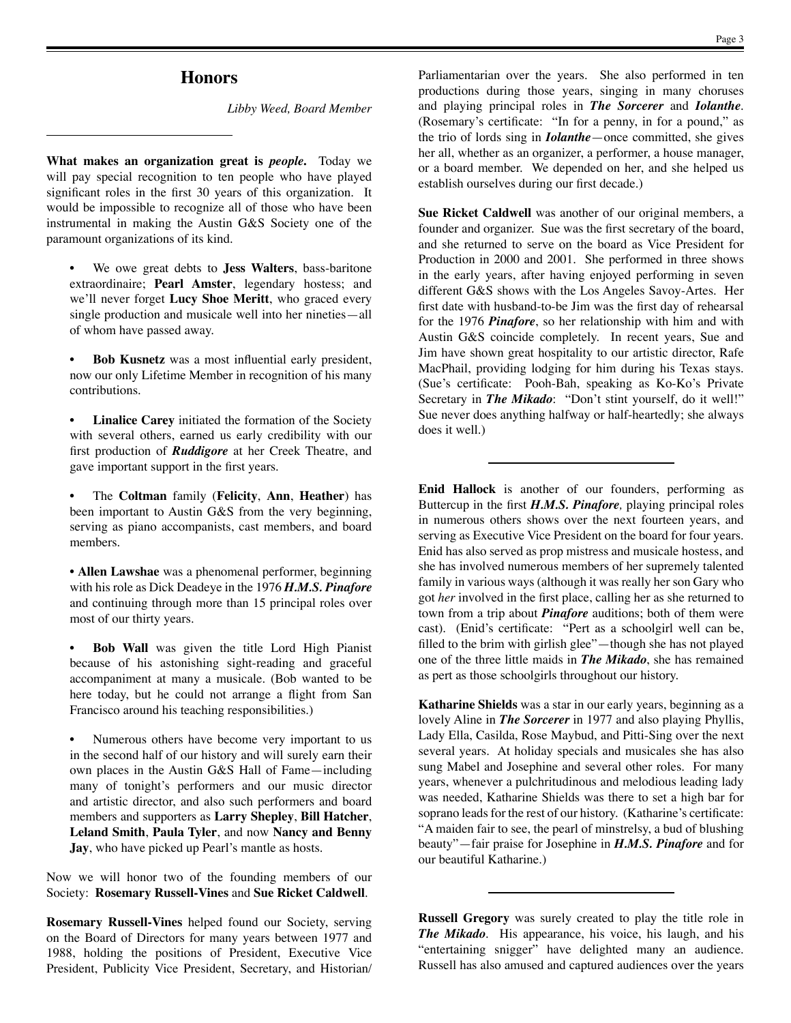#### **Honors**

*Libby Weed, Board Member*

**What makes an organization great is** *people***.** Today we will pay special recognition to ten people who have played significant roles in the first 30 years of this organization. It would be impossible to recognize all of those who have been instrumental in making the Austin G&S Society one of the paramount organizations of its kind.

• We owe great debts to **Jess Walters**, bass-baritone extraordinaire; **Pearl Amster**, legendary hostess; and we'll never forget **Lucy Shoe Meritt**, who graced every single production and musicale well into her nineties—all of whom have passed away.

• **Bob Kusnetz** was a most influential early president, now our only Lifetime Member in recognition of his many contributions.

**Linalice Carey** initiated the formation of the Society with several others, earned us early credibility with our first production of *Ruddigore* at her Creek Theatre, and gave important support in the first years.

• The **Coltman** family (**Felicity**, **Ann**, **Heather**) has been important to Austin G&S from the very beginning, serving as piano accompanists, cast members, and board members.

• **Allen Lawshae** was a phenomenal performer, beginning with his role as Dick Deadeye in the 1976 *H.M.S. Pinafore* and continuing through more than 15 principal roles over most of our thirty years.

**Bob Wall** was given the title Lord High Pianist because of his astonishing sight-reading and graceful accompaniment at many a musicale. (Bob wanted to be here today, but he could not arrange a flight from San Francisco around his teaching responsibilities.)

Numerous others have become very important to us in the second half of our history and will surely earn their own places in the Austin G&S Hall of Fame—including many of tonight's performers and our music director and artistic director, and also such performers and board members and supporters as **Larry Shepley**, **Bill Hatcher**, **Leland Smith**, **Paula Tyler**, and now **Nancy and Benny Jay**, who have picked up Pearl's mantle as hosts.

Now we will honor two of the founding members of our Society: **Rosemary Russell-Vines** and **Sue Ricket Caldwell**.

**Rosemary Russell-Vines** helped found our Society, serving on the Board of Directors for many years between 1977 and 1988, holding the positions of President, Executive Vice President, Publicity Vice President, Secretary, and Historian/

Parliamentarian over the years. She also performed in ten productions during those years, singing in many choruses and playing principal roles in *The Sorcerer* and *Iolanthe*. (Rosemary's certificate: "In for a penny, in for a pound," as the trio of lords sing in *Iolanthe*—once committed, she gives her all, whether as an organizer, a performer, a house manager, or a board member. We depended on her, and she helped us establish ourselves during our first decade.)

**Sue Ricket Caldwell** was another of our original members, a founder and organizer. Sue was the first secretary of the board, and she returned to serve on the board as Vice President for Production in 2000 and 2001. She performed in three shows in the early years, after having enjoyed performing in seven different G&S shows with the Los Angeles Savoy-Artes. Her first date with husband-to-be Jim was the first day of rehearsal for the 1976 *Pinafore*, so her relationship with him and with Austin G&S coincide completely. In recent years, Sue and Jim have shown great hospitality to our artistic director, Rafe MacPhail, providing lodging for him during his Texas stays. (Sue's certificate: Pooh-Bah, speaking as Ko-Ko's Private Secretary in *The Mikado*: "Don't stint yourself, do it well!" Sue never does anything halfway or half-heartedly; she always does it well.)

**Enid Hallock** is another of our founders, performing as Buttercup in the first *H.M.S. Pinafore,* playing principal roles in numerous others shows over the next fourteen years, and serving as Executive Vice President on the board for four years. Enid has also served as prop mistress and musicale hostess, and she has involved numerous members of her supremely talented family in various ways (although it was really her son Gary who got *her* involved in the first place, calling her as she returned to town from a trip about *Pinafore* auditions; both of them were cast). (Enid's certificate: "Pert as a schoolgirl well can be, filled to the brim with girlish glee"—though she has not played one of the three little maids in *The Mikado*, she has remained as pert as those schoolgirls throughout our history.

**Katharine Shields** was a star in our early years, beginning as a lovely Aline in *The Sorcerer* in 1977 and also playing Phyllis, Lady Ella, Casilda, Rose Maybud, and Pitti-Sing over the next several years. At holiday specials and musicales she has also sung Mabel and Josephine and several other roles. For many years, whenever a pulchritudinous and melodious leading lady was needed, Katharine Shields was there to set a high bar for soprano leads for the rest of our history. (Katharine's certificate: "A maiden fair to see, the pearl of minstrelsy, a bud of blushing beauty"—fair praise for Josephine in *H.M.S. Pinafore* and for our beautiful Katharine.)

**Russell Gregory** was surely created to play the title role in *The Mikado.* His appearance, his voice, his laugh, and his "entertaining snigger" have delighted many an audience. Russell has also amused and captured audiences over the years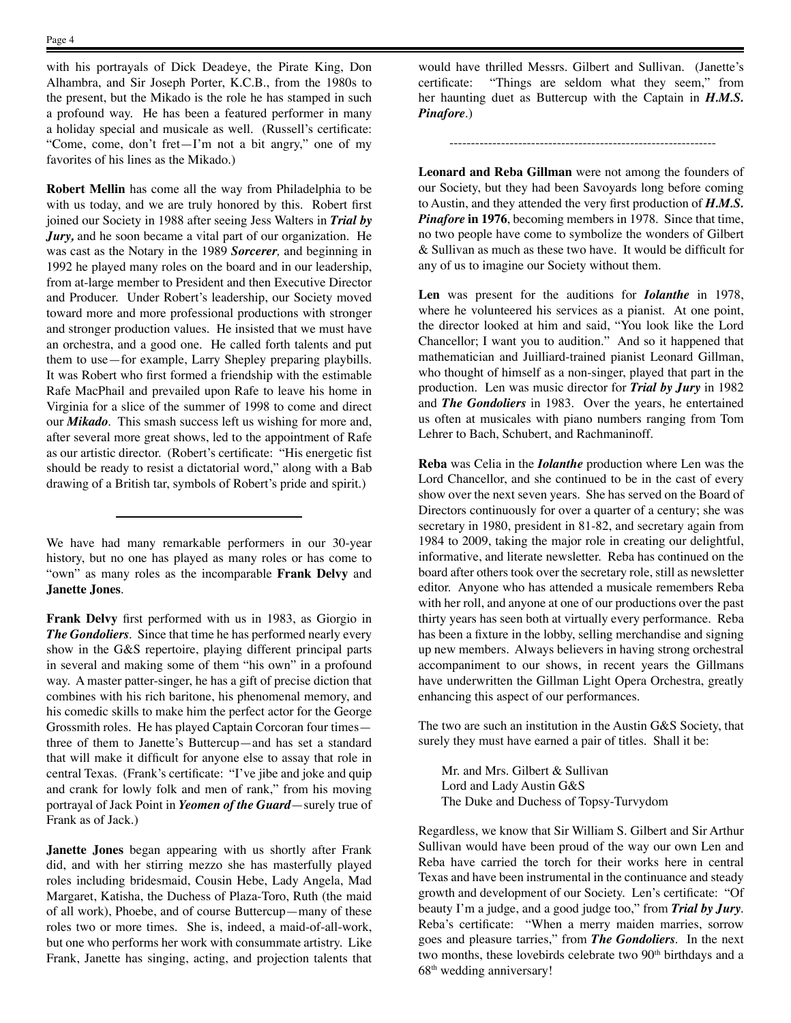with his portrayals of Dick Deadeye, the Pirate King, Don Alhambra, and Sir Joseph Porter, K.C.B., from the 1980s to the present, but the Mikado is the role he has stamped in such a profound way. He has been a featured performer in many a holiday special and musicale as well. (Russell's certificate: "Come, come, don't fret—I'm not a bit angry," one of my favorites of his lines as the Mikado.)

**Robert Mellin** has come all the way from Philadelphia to be with us today, and we are truly honored by this. Robert first joined our Society in 1988 after seeing Jess Walters in *Trial by Jury,* and he soon became a vital part of our organization. He was cast as the Notary in the 1989 *Sorcerer,* and beginning in 1992 he played many roles on the board and in our leadership, from at-large member to President and then Executive Director and Producer. Under Robert's leadership, our Society moved toward more and more professional productions with stronger and stronger production values. He insisted that we must have an orchestra, and a good one. He called forth talents and put them to use—for example, Larry Shepley preparing playbills. It was Robert who first formed a friendship with the estimable Rafe MacPhail and prevailed upon Rafe to leave his home in Virginia for a slice of the summer of 1998 to come and direct our *Mikado.* This smash success left us wishing for more and, after several more great shows, led to the appointment of Rafe as our artistic director. (Robert's certificate: "His energetic fist should be ready to resist a dictatorial word," along with a Bab drawing of a British tar, symbols of Robert's pride and spirit.)

We have had many remarkable performers in our 30-year history, but no one has played as many roles or has come to "own" as many roles as the incomparable **Frank Delvy** and **Janette Jones**.

**Frank Delvy** first performed with us in 1983, as Giorgio in *The Gondoliers.* Since that time he has performed nearly every show in the G&S repertoire, playing different principal parts in several and making some of them "his own" in a profound way. A master patter-singer, he has a gift of precise diction that combines with his rich baritone, his phenomenal memory, and his comedic skills to make him the perfect actor for the George Grossmith roles. He has played Captain Corcoran four times three of them to Janette's Buttercup—and has set a standard that will make it difficult for anyone else to assay that role in central Texas. (Frank's certificate: "I've jibe and joke and quip and crank for lowly folk and men of rank," from his moving portrayal of Jack Point in *Yeomen of the Guard*—surely true of Frank as of Jack.)

**Janette Jones** began appearing with us shortly after Frank did, and with her stirring mezzo she has masterfully played roles including bridesmaid, Cousin Hebe, Lady Angela, Mad Margaret, Katisha, the Duchess of Plaza-Toro, Ruth (the maid of all work), Phoebe, and of course Buttercup—many of these roles two or more times. She is, indeed, a maid-of-all-work, but one who performs her work with consummate artistry. Like Frank, Janette has singing, acting, and projection talents that would have thrilled Messrs. Gilbert and Sullivan. (Janette's certificate: "Things are seldom what they seem," from her haunting duet as Buttercup with the Captain in *H.M.S. Pinafore.*)

--------------------------------------------------------------

**Leonard and Reba Gillman** were not among the founders of our Society, but they had been Savoyards long before coming to Austin, and they attended the very first production of *H.M.S. Pinafore* in 1976, becoming members in 1978. Since that time, no two people have come to symbolize the wonders of Gilbert & Sullivan as much as these two have. It would be difficult for any of us to imagine our Society without them.

**Len** was present for the auditions for *Iolanthe* in 1978, where he volunteered his services as a pianist. At one point, the director looked at him and said, "You look like the Lord Chancellor; I want you to audition." And so it happened that mathematician and Juilliard-trained pianist Leonard Gillman, who thought of himself as a non-singer, played that part in the production. Len was music director for *Trial by Jury* in 1982 and *The Gondoliers* in 1983. Over the years, he entertained us often at musicales with piano numbers ranging from Tom Lehrer to Bach, Schubert, and Rachmaninoff.

**Reba** was Celia in the *Iolanthe* production where Len was the Lord Chancellor, and she continued to be in the cast of every show over the next seven years. She has served on the Board of Directors continuously for over a quarter of a century; she was secretary in 1980, president in 81-82, and secretary again from 1984 to 2009, taking the major role in creating our delightful, informative, and literate newsletter. Reba has continued on the board after others took over the secretary role, still as newsletter editor. Anyone who has attended a musicale remembers Reba with her roll, and anyone at one of our productions over the past thirty years has seen both at virtually every performance. Reba has been a fixture in the lobby, selling merchandise and signing up new members. Always believers in having strong orchestral accompaniment to our shows, in recent years the Gillmans have underwritten the Gillman Light Opera Orchestra, greatly enhancing this aspect of our performances.

The two are such an institution in the Austin G&S Society, that surely they must have earned a pair of titles. Shall it be:

Mr. and Mrs. Gilbert & Sullivan Lord and Lady Austin G&S The Duke and Duchess of Topsy-Turvydom

Regardless, we know that Sir William S. Gilbert and Sir Arthur Sullivan would have been proud of the way our own Len and Reba have carried the torch for their works here in central Texas and have been instrumental in the continuance and steady growth and development of our Society. Len's certificate: "Of beauty I'm a judge, and a good judge too," from *Trial by Jury.* Reba's certificate: "When a merry maiden marries, sorrow goes and pleasure tarries," from *The Gondoliers.* In the next two months, these lovebirds celebrate two 90<sup>th</sup> birthdays and a 68th wedding anniversary!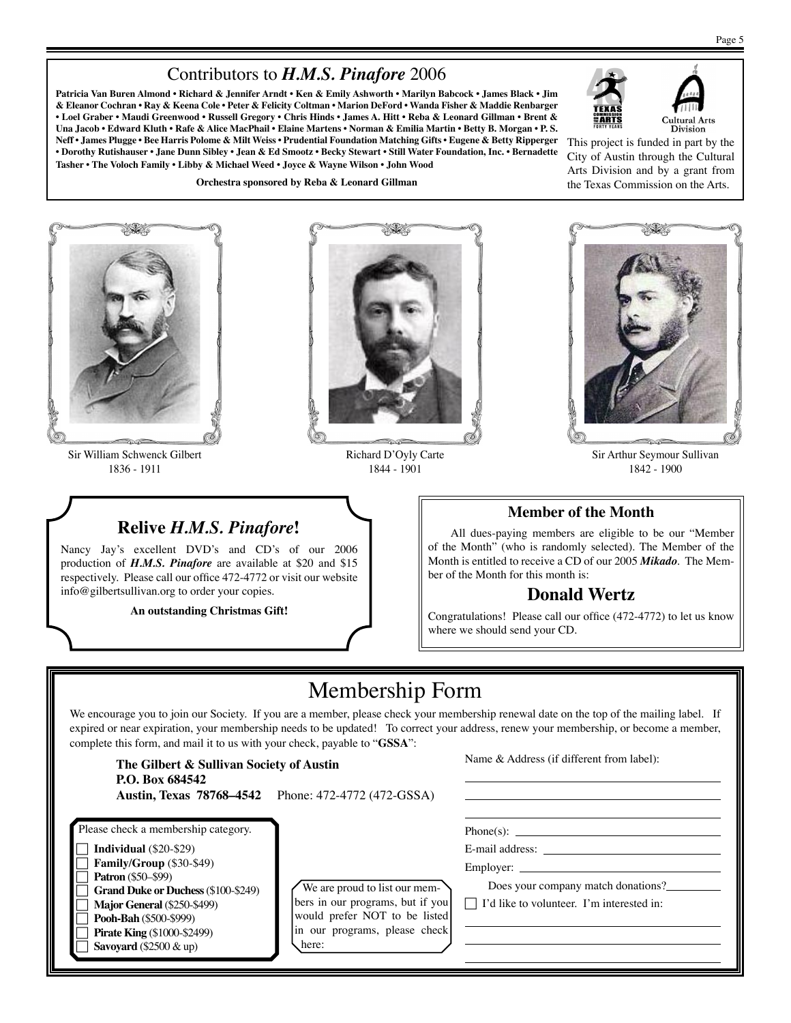# Contributors to *H.M.S. Pinafore* 2006

**Patricia Van Buren Almond • Richard & Jennifer Arndt • Ken & Emily Ashworth • Marilyn Babcock • James Black • Jim & Eleanor Cochran • Ray & Keena Cole • Peter & Felicity Coltman • Marion DeFord • Wanda Fisher & Maddie Renbarger • Loel Graber • Maudi Greenwood • Russell Gregory • Chris Hinds • James A. Hitt • Reba & Leonard Gillman • Brent & Una Jacob • Edward Kluth • Rafe & Alice MacPhail • Elaine Martens • Norman & Emilia Martin • Betty B. Morgan • P. S. Neff • James Plugge • Bee Harris Polome & Milt Weiss • Prudential Foundation Matching Gifts • Eugene & Betty Ripperger • Dorothy Rutishauser • Jane Dunn Sibley • Jean & Ed Smootz • Becky Stewart • Still Water Foundation, Inc. • Bernadette Tasher • The Voloch Family • Libby & Michael Weed • Joyce & Wayne Wilson • John Wood**

**Orchestra sponsored by Reba & Leonard Gillman**





This project is funded in part by the City of Austin through the Cultural Arts Division and by a grant from the Texas Commission on the Arts.



Sir William Schwenck Gilbert 1836 - 1911



Richard D'Oyly Carte 1844 - 1901



Sir Arthur Seymour Sullivan 1842 - 1900

## **Member of the Month**

All dues-paying members are eligible to be our "Member of the Month" (who is randomly selected). The Member of the Month is entitled to receive a CD of our 2005 *Mikado*. The Member of the Month for this month is:

## **Donald Wertz**

Congratulations! Please call our office (472-4772) to let us know where we should send your CD.

# **Relive** *H.M.S. Pinafore***!**

Nancy Jay's excellent DVD's and CD's of our 2006 production of *H.M.S. Pinafore* are available at \$20 and \$15 respectively. Please call our office 472-4772 or visit our website info@gilbertsullivan.org to order your copies.

**An outstanding Christmas Gift!**



We encourage you to join our Society. If you are a member, please check your membership renewal date on the top of the mailing label. If expired or near expiration, your membership needs to be updated! To correct your address, renew your membership, or become a member, complete this form, and mail it to us with your check, payable to "**GSSA**":

| The Gilbert & Sullivan Society of Austin<br>P.O. Box 684542<br><b>Austin, Texas 78768–4542</b>                                                                                                                                                                                                  | Phone: 472-4772 (472-GSSA)                                                                                                                   | Name & Address (if different from label):                                                                              |
|-------------------------------------------------------------------------------------------------------------------------------------------------------------------------------------------------------------------------------------------------------------------------------------------------|----------------------------------------------------------------------------------------------------------------------------------------------|------------------------------------------------------------------------------------------------------------------------|
| Please check a membership category.<br>Individual $(\$20-\$29)$<br>Family/Group (\$30-\$49)<br><b>Patron</b> (\$50–\$99)<br><b>Grand Duke or Duchess (\$100-\$249)</b><br>Major General (\$250-\$499)<br>Pooh-Bah (\$500-\$999)<br><b>Pirate King (\$1000-\$2499)</b><br>Savoyard (\$2500 & up) | We are proud to list our mem-<br>bers in our programs, but if you<br>would prefer NOT to be listed<br>in our programs, please check<br>here: | E-mail address:<br>Employer:<br>Does your company match donations?<br>$\Box$ I'd like to volunteer. I'm interested in: |